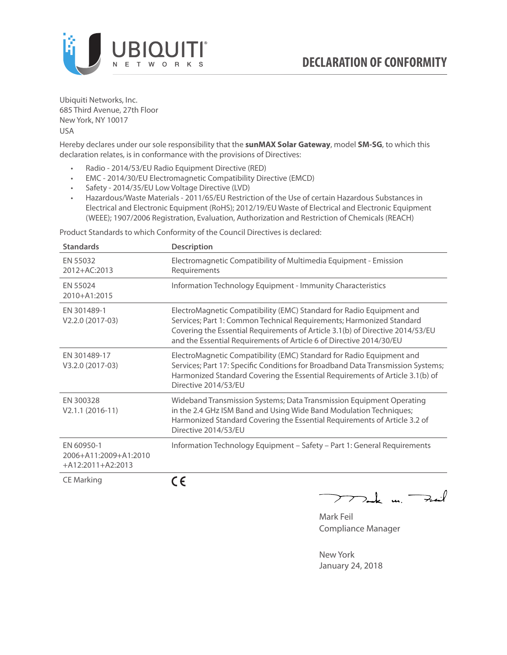

Ubiquiti Networks, Inc. 685 Third Avenue, 27th Floor New York, NY 10017 USA

Hereby declares under our sole responsibility that the **sunMAX Solar Gateway**, model **SM-SG**, to which this declaration relates, is in conformance with the provisions of Directives:

- Radio 2014/53/EU Radio Equipment Directive (RED)
- EMC 2014/30/EU Electromagnetic Compatibility Directive (EMCD)
- Safety 2014/35/EU Low Voltage Directive (LVD)
- Hazardous/Waste Materials 2011/65/EU Restriction of the Use of certain Hazardous Substances in Electrical and Electronic Equipment (RoHS); 2012/19/EU Waste of Electrical and Electronic Equipment (WEEE); 1907/2006 Registration, Evaluation, Authorization and Restriction of Chemicals (REACH)

Product Standards to which Conformity of the Council Directives is declared:

| <b>Standards</b>                                           | <b>Description</b>                                                                                                                                                                                                                                                                                   |
|------------------------------------------------------------|------------------------------------------------------------------------------------------------------------------------------------------------------------------------------------------------------------------------------------------------------------------------------------------------------|
| EN 55032<br>2012+AC:2013                                   | Electromagnetic Compatibility of Multimedia Equipment - Emission<br>Requirements                                                                                                                                                                                                                     |
| EN 55024<br>2010+A1:2015                                   | Information Technology Equipment - Immunity Characteristics                                                                                                                                                                                                                                          |
| FN 301489-1<br>V2.2.0 (2017-03)                            | ElectroMagnetic Compatibility (EMC) Standard for Radio Equipment and<br>Services; Part 1: Common Technical Requirements; Harmonized Standard<br>Covering the Essential Requirements of Article 3.1(b) of Directive 2014/53/EU<br>and the Essential Requirements of Article 6 of Directive 2014/30/EU |
| EN 301489-17<br>V3.2.0 (2017-03)                           | ElectroMagnetic Compatibility (EMC) Standard for Radio Equipment and<br>Services; Part 17: Specific Conditions for Broadband Data Transmission Systems;<br>Harmonized Standard Covering the Essential Requirements of Article 3.1(b) of<br>Directive 2014/53/FU                                      |
| EN 300328<br>$V2.1.1 (2016-11)$                            | Wideband Transmission Systems; Data Transmission Equipment Operating<br>in the 2.4 GHz ISM Band and Using Wide Band Modulation Techniques;<br>Harmonized Standard Covering the Essential Requirements of Article 3.2 of<br>Directive 2014/53/EU                                                      |
| EN 60950-1<br>2006+A11:2009+A1:2010<br>$+A12:2011+A2:2013$ | Information Technology Equipment - Safety - Part 1: General Requirements                                                                                                                                                                                                                             |
| <b>CE Marking</b>                                          | $\epsilon$                                                                                                                                                                                                                                                                                           |

 $\nabla$  and  $\nabla$  and  $\nabla$ 

Mark Feil Compliance Manager

New York January 24, 2018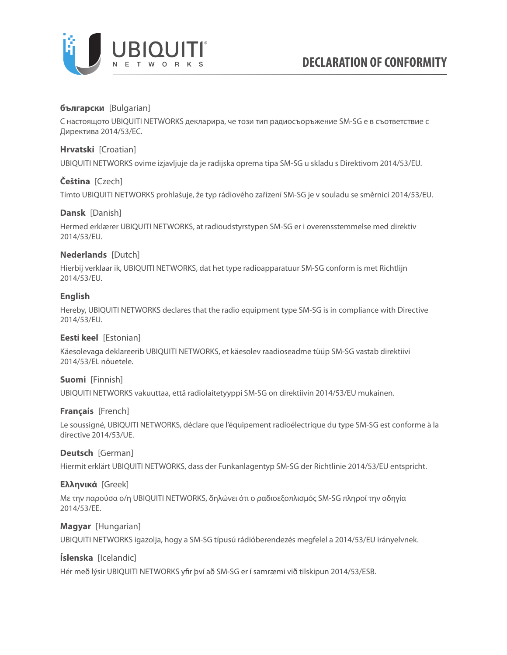

# **български** [Bulgarian]

С настоящото UBIQUITI NETWORKS декларира, че този тип радиосъоръжение SM-SG е в съответствие с Директива 2014/53/ЕС.

## **Hrvatski** [Croatian]

UBIQUITI NETWORKS ovime izjavljuje da je radijska oprema tipa SM-SG u skladu s Direktivom 2014/53/EU.

## **Čeština** [Czech]

Tímto UBIQUITI NETWORKS prohlašuje, že typ rádiového zařízení SM-SG je v souladu se směrnicí 2014/53/EU.

## **Dansk** [Danish]

Hermed erklærer UBIQUITI NETWORKS, at radioudstyrstypen SM-SG er i overensstemmelse med direktiv 2014/53/EU.

# **Nederlands** [Dutch]

Hierbij verklaar ik, UBIQUITI NETWORKS, dat het type radioapparatuur SM-SG conform is met Richtlijn 2014/53/EU.

## **English**

Hereby, UBIQUITI NETWORKS declares that the radio equipment type SM-SG is in compliance with Directive 2014/53/EU.

## **Eesti keel** [Estonian]

Käesolevaga deklareerib UBIQUITI NETWORKS, et käesolev raadioseadme tüüp SM-SG vastab direktiivi 2014/53/EL nõuetele.

## **Suomi** [Finnish]

UBIQUITI NETWORKS vakuuttaa, että radiolaitetyyppi SM-SG on direktiivin 2014/53/EU mukainen.

## **Français** [French]

Le soussigné, UBIQUITI NETWORKS, déclare que l'équipement radioélectrique du type SM-SG est conforme à la directive 2014/53/UE.

## **Deutsch** [German]

Hiermit erklärt UBIQUITI NETWORKS, dass der Funkanlagentyp SM-SG der Richtlinie 2014/53/EU entspricht.

## **Ελληνικά** [Greek]

Με την παρούσα ο/η UBIQUITI NETWORKS, δηλώνει ότι ο ραδιοεξοπλισμός SM-SG πληροί την οδηγία 2014/53/ΕΕ.

## **Magyar** [Hungarian]

UBIQUITI NETWORKS igazolja, hogy a SM-SG típusú rádióberendezés megfelel a 2014/53/EU irányelvnek.

## **Íslenska** [Icelandic]

Hér með lýsir UBIQUITI NETWORKS yfir því að SM-SG er í samræmi við tilskipun 2014/53/ESB.